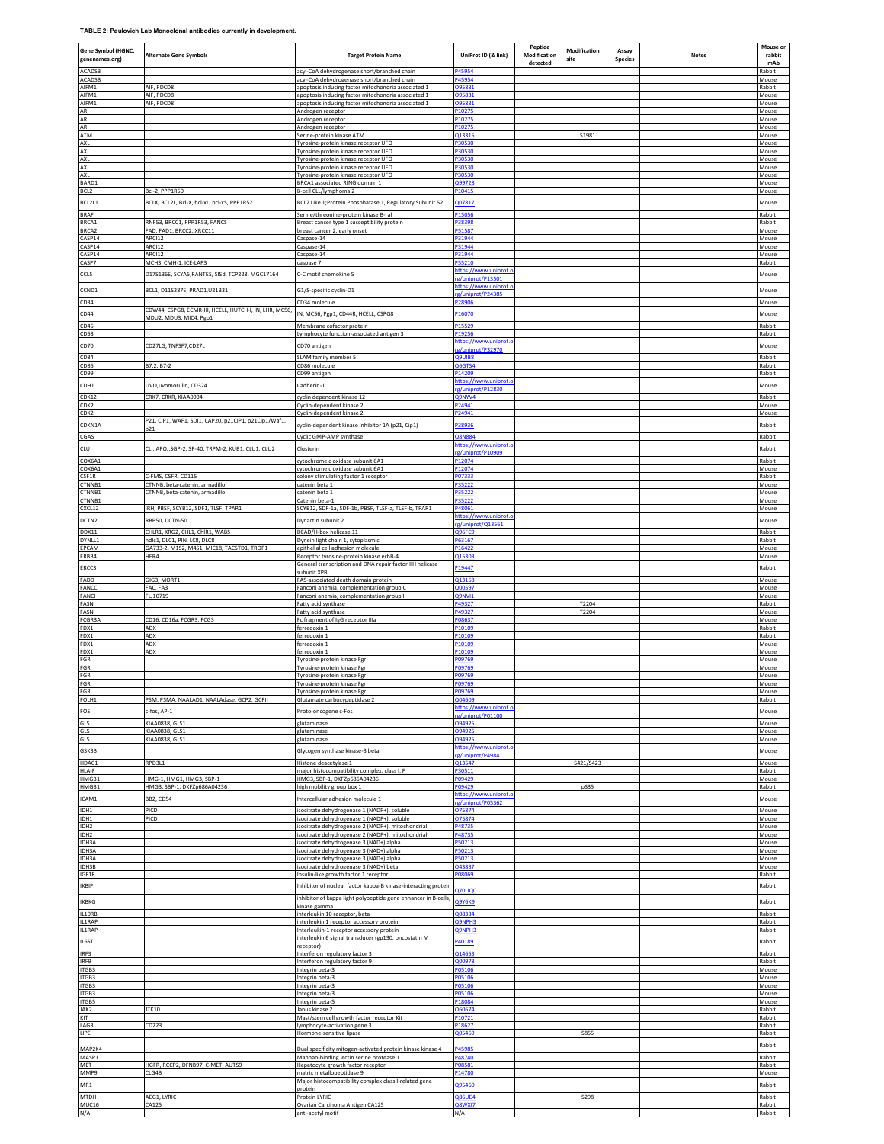**TABLE 2: Paulovich Lab Monoclonal antibodies currently in development.**

| Gene Symbol (HGNC,<br>genenames.org) | <b>Alternate Gene Symbols</b>                                                   | <b>Target Protein Name</b>                                                                                                    | UniProt ID (& link)                                 | Peptide<br>Modification<br>detected | Modification<br>site | Assay<br><b>Species</b> | <b>Notes</b> | Mouse or<br>rabbit<br>mAb |
|--------------------------------------|---------------------------------------------------------------------------------|-------------------------------------------------------------------------------------------------------------------------------|-----------------------------------------------------|-------------------------------------|----------------------|-------------------------|--------------|---------------------------|
| ACADSB<br>ACADSB                     |                                                                                 | acyl-CoA dehydrogenase short/branched chain<br>acyl-CoA dehydrogenase short/branched chain                                    | 245954<br>245954                                    |                                     |                      |                         |              | Rabbit<br>Mouse           |
| AIFM1<br>AIFM1                       | <b>AIF, PDCD8</b><br>AIF, PDCD8                                                 | apoptosis inducing factor mitochondria associated 1<br>apoptosis inducing factor mitochondria associated 1                    | 095831<br>095831                                    |                                     |                      |                         |              | Rabbit<br>Mouse           |
| AIFM1<br>AR                          | AIF, PDCD8                                                                      | apoptosis inducing factor mitochondria associated 1<br>Androgen receptor                                                      | 095831<br>210275                                    |                                     |                      |                         |              | Mouse<br>Mouse            |
| AR<br>AR                             |                                                                                 | Androgen receptor<br>Androgen receptor                                                                                        | P10275<br>P10275                                    |                                     |                      |                         |              | Mouse<br>Mouse            |
| <b>ATM</b><br>AXL                    |                                                                                 | Serine-protein kinase ATM<br>Tyrosine-protein kinase receptor UFO                                                             | 213315<br>30530                                     |                                     | S1981                |                         |              | Mouse<br>Mouse            |
| AXL<br>AXL                           |                                                                                 | Tyrosine-protein kinase receptor UFO<br>Tyrosine-protein kinase receptor UFO                                                  | P30530<br>30530                                     |                                     |                      |                         |              | Mouse<br>Mouse            |
| AXL<br>AXL                           |                                                                                 | Tyrosine-protein kinase receptor UFO<br>Tyrosine-protein kinase receptor UFO                                                  | 30530<br>30530                                      |                                     |                      |                         |              | Mouse<br>Mouse            |
| BARD1<br>BCL <sub>2</sub>            | Bcl-2, PPP1R50                                                                  | BRCA1 associated RING domain 1<br>B-cell CLL/lymphoma 2                                                                       | 299728<br>10415                                     |                                     |                      |                         |              | Mouse<br>Mouse            |
| BCL2L1                               | BCLX, BCL2L, Bcl-X, bcl-xL, bcl-xS, PPP1R52                                     | BCL2 Like 1; Protein Phosphatase 1, Regulatory Subunit 52                                                                     | 007817                                              |                                     |                      |                         |              | Mouse                     |
| <b>BRAF</b><br>BRCA1                 | RNF53, BRCC1, PPP1R53, FANCS                                                    | Serine/threonine-protein kinase B-raf<br>Breast cancer type 1 susceptibility protein                                          | 215056<br>38398                                     |                                     |                      |                         |              | Rabbit<br>Rabbit          |
| BRCA2<br>CASP14                      | FAD, FAD1, BRCC2, XRCC11<br>ARCI12                                              | breast cancer 2, early onset<br>Caspase-14                                                                                    | 51587<br>31944                                      |                                     |                      |                         |              | Mouse<br>Mouse            |
| CASP14<br>CASP14                     | ARCI12<br>ARCI12                                                                | Caspase-14<br>Caspase-14                                                                                                      | P31944<br>P31944                                    |                                     |                      |                         |              | Mouse<br>Mouse            |
| CASP7                                | MCH3, CMH-1, ICE-LAP3                                                           | caspase 7                                                                                                                     | P55210<br>nttps://www.uniprot.c                     |                                     |                      |                         |              | Rabbit                    |
| <b>CCL5</b>                          | D17S136E, SCYA5, RANTES, SISd, TCP228, MGC17164                                 | C-C motif chemokine 5                                                                                                         | z/uniprot/P13501<br>ittps://www.uniprot.            |                                     |                      |                         |              | Mouse                     |
| CCND1<br>CD34                        | BCL1, D11S287E, PRAD1, U21B31                                                   | G1/S-specific cyclin-D1<br>CD34 molecule                                                                                      | g/uniprot/P24385<br>28906                           |                                     |                      |                         |              | Mouse<br>Mouse            |
| CD44                                 | CDW44, CSPG8, ECMR-III, HCELL, HUTCH-I, IN, LHR, MC56<br>MDU2, MDU3, MIC4, Pgp1 | IN, MC56, Pgp1, CD44R, HCELL, CSPG8                                                                                           | 216070                                              |                                     |                      |                         |              | Mouse                     |
| CD46<br>CD58                         |                                                                                 | Membrane cofactor protein<br>Lymphocyte function-associated antigen 3                                                         | 15529<br>219256                                     |                                     |                      |                         |              | Rabbit<br>Rabbit          |
| CD70                                 | CD27LG, TNFSF7,CD27L                                                            | CD70 antigen                                                                                                                  | https://www.uniprot.<br>g/uniprot/P32970            |                                     |                      |                         |              | Mouse                     |
| CD84<br>CD86                         | B7.2, B7-2                                                                      | SLAM family member 5<br>CD86 molecule                                                                                         | <b>Q9UIB8</b><br><b>26GTS4</b>                      |                                     |                      |                         |              | Rabbit<br>Rabbit          |
| CD99                                 |                                                                                 | CD99 antigen                                                                                                                  | 14209<br>ttps://www.uniprot                         |                                     |                      |                         |              | Rabbit                    |
| CDH1<br>CDK12                        | UVO,uvomorulin, CD324<br>CRK7, CRKR, KIAA0904                                   | Cadherin-1<br>cyclin dependent kinase 12                                                                                      | g/uninrot/P12830<br><b>29NYV4</b>                   |                                     |                      |                         |              | Mouse<br>Rabbit           |
| CDK2<br>CDK2                         |                                                                                 | Cyclin-dependent kinase 2                                                                                                     | 24941<br>P24941                                     |                                     |                      |                         |              | Mouse                     |
| CDKN1A                               | P21, CIP1, WAF1, SDI1, CAP20, p21CIP1, p21Cip1/Waf1,                            | Cyclin-dependent kinase 2<br>cyclin-dependent kinase inhibitor 1A (p21, Cip1)                                                 | 38936                                               |                                     |                      |                         |              | Mouse<br>Rabbit           |
| CGAS                                 |                                                                                 | Cyclic GMP-AMP synthase                                                                                                       | <b>28N884</b><br>https://www.uniprot.               |                                     |                      |                         |              | Rabbit                    |
| CLU                                  | CLI, APOJ, SGP-2, SP-40, TRPM-2, KUB1, CLU1, CLU2                               | Clusterin                                                                                                                     | g/uniprot/P10909                                    |                                     |                      |                         |              | Rabbit                    |
| COX6A1<br>COX6A1                     |                                                                                 | cytochrome c oxidase subunit 6A1<br>cytochrome c oxidase subunit 6A1                                                          | 212074<br>12074                                     |                                     |                      |                         |              | Rabbit<br>Mouse           |
| CSF1R<br>CTNNB1                      | C-FMS, CSFR, CD115<br>CTNNB, beta-catenin, armadillo                            | colony stimulating factor 1 receptor<br>catenin beta:                                                                         | 07333<br>35222                                      |                                     |                      |                         |              | Rabbit<br>Mouse           |
| CTNNB1<br>CTNNB1                     | CTNNB, beta-catenin, armadillo                                                  | catenin beta 1<br>Catenin beta-1                                                                                              | 35222<br>35222                                      |                                     |                      |                         |              | Mouse<br>Mouse            |
| CXCL12<br>DCTN2                      | IRH, PBSF, SCYB12, SDF1, TLSF, TPAR1<br>RBP50, DCTN-50                          | SCYB12, SDF-1a, SDF-1b, PBSF, TLSF-a, TLSF-b, TPAR1<br>Dynactin subunit 2                                                     | P48061<br>https://www.uniprot.c                     |                                     |                      |                         |              | Mouse<br>Mouse            |
| DDX11                                | CHLR1, KRG2, CHL1, ChlR1, WABS                                                  | DEAD/H-box helicase 11                                                                                                        | g/uniprot/Q13561<br>296FC9                          |                                     |                      |                         |              | Rabbit                    |
| DYNLL1<br>EPCAM                      | hdic1. DLC1. PIN. LC8. DLC8<br>GA733-2, M1S2, M4S1, MIC18, TACSTD1, TROP1       | Dynein light chain 1, cytoplasmic<br>epithelial cell adhesion molecule                                                        | P63167<br>P16422                                    |                                     |                      |                         |              | Rabbit<br>Mouse           |
| ERBB4<br>ERCC3                       | HER4                                                                            | Receptor tyrosine-protein kinase erbB-4<br>General transcription and DNA repair factor IIH helicase                           | 015303<br>19447                                     |                                     |                      |                         |              | Mouse<br>Rabbit           |
| FADD                                 | GIG3, MORT1                                                                     | ubunit XPB<br>FAS-associated death domain protein                                                                             | 213158                                              |                                     |                      |                         |              | Mouse                     |
| FANCO<br>FANCI                       | FAC. FA3<br>FLJ10719                                                            | Fanconi anemia, complementation group C<br>Fanconi anemia, complementation group I                                            | 200597<br><b>29NVI1</b>                             |                                     |                      |                         |              | Mouse<br>Mouse            |
| FASN<br>FASN                         |                                                                                 | Fatty acid synthase<br>Fatty acid synthase                                                                                    | P49327<br>49327                                     |                                     | T2204<br>T2204       |                         |              | Rabbit<br>Mouse           |
| FCGR3A<br>FDX1                       | CD16, CD16a, FCGR3, FCG3<br>ADX                                                 | Fc fragment of IgG receptor IIIa<br>ferredoxin 1                                                                              | 08637<br>P10109                                     |                                     |                      |                         |              | Mouse<br>Rabbit           |
| FDX1<br>FDX1<br>FDX1                 | ADX<br>ADX<br>ADX                                                               | ferredoxin 1<br>ferredoxin 1<br>ferredoxin 1                                                                                  | 210109<br>210109                                    |                                     |                      |                         |              | Rabbit<br>Mouse           |
| FGR<br>FGR                           |                                                                                 | Tyrosine-protein kinase Fgr<br>Tyrosine-protein kinase Fgr                                                                    | <sup>2</sup> 10109<br>'09769<br>09769               |                                     |                      |                         |              | Mouse<br>Mouse<br>Mouse   |
| FGR<br>$\overline{r}$<br>ĠR          |                                                                                 | Tyrosine-protein kinase Fgr<br>Tyrosine-protein kinase Egi                                                                    | 209769<br>109769                                    |                                     |                      |                         |              | Mouse<br>Mouse            |
| $FGR$                                | PSM, PSMA, NAALAD1, NAALAdase, GCP2, GCPII                                      | Tyrosine-protein kinase Fgr                                                                                                   | 09769                                               |                                     |                      |                         |              | Mouse                     |
| FOLH1<br>FOS                         | -fos, AP-1                                                                      | Glutamate carboxypeptidase 2<br>Proto-oncogene c-Fos                                                                          | 204609<br>https://www.uniprot.<br>g/uniprot/P01100  |                                     |                      |                         |              | Rabbit<br>Mouse           |
| GLS<br>GLS                           | KIAA0838, GLS1<br>KIAA0838, GLS1                                                | glutaminase<br>glutaminase                                                                                                    | 094925<br><b>094925</b>                             |                                     |                      |                         |              | Mouse<br>Mouse            |
| GLS                                  | KIAA0838, GLS1                                                                  | glutaminase                                                                                                                   | <b>294925</b>                                       |                                     |                      |                         |              | Mouse                     |
| GSK3B<br>HDAC1                       | RPD3L1                                                                          | Glycogen synthase kinase-3 beta<br>Histone deacetylase 1                                                                      | nttps://www.uniprot.c<br>z/uniprot/P49841<br>213547 |                                     | S421/S423            |                         |              | Mouse<br>Mouse            |
| HLA-F<br>HMGB1                       | HMG-1, HMG1, HMG3, SBP-1                                                        | major histocompatibility complex, class I, F<br>HMG3, SBP-1, DKFZp686A04236                                                   | P30511<br>09429                                     |                                     |                      |                         |              | Rabbit<br>Mouse           |
| HMGB1                                | HMG3, SBP-1, DKFZp686A04236                                                     | high mobility group box 1                                                                                                     | 09429<br>https://www.uniprot.c                      |                                     | pS35                 |                         |              | Rabbit                    |
| ICAM1<br>IDH1                        | <b>BB2, CD54</b><br>PICD                                                        | Intercellular adhesion molecule 1<br>isocitrate dehydrogenase 1 (NADP+), soluble                                              | z/uniprot/P05362<br>075874                          |                                     |                      |                         |              | Mouse<br>Mouse            |
| IDH1<br>IDH2                         | PICD                                                                            | isocitrate dehydrogenase 1 (NADP+), soluble<br>isocitrate dehydrogenase 2 (NADP+), mitochondrial                              | 075874<br>P48735                                    |                                     |                      |                         |              | Mouse<br>Mouse            |
| IDH <sub>2</sub>                     |                                                                                 | isocitrate dehydrogenase 2 (NADP+), mitochondrial                                                                             | P48735                                              |                                     |                      |                         |              | Mouse                     |
| IDH3A<br>IDH3A<br>IDH3A              |                                                                                 | isocitrate dehydrogenase 3 (NAD+) alpha<br>isocitrate dehydrogenase 3 (NAD+) alpha<br>isocitrate dehydrogenase 3 (NAD+) alpha | 250213<br>50213<br>50213                            |                                     |                      |                         |              | Mouse<br>Mouse<br>Mouse   |
| IDH3B                                |                                                                                 | isocitrate dehydrogenase 3 (NAD+) beta                                                                                        | 043837<br>08069                                     |                                     |                      |                         |              | Mouse                     |
| IGF1R<br>IKBIP                       |                                                                                 | Insulin-like growth factor 1 receptor<br>Inhibitor of nuclear factor kappa-B kinase-interacting protein                       | <b>270UQ0</b>                                       |                                     |                      |                         |              | Rabbit<br>Rabbit          |
| IKBKG                                |                                                                                 | inhibitor of kappa light polypeptide gene enhancer in B-cells,<br>kinase gamma                                                | <b>29Y6K9</b>                                       |                                     |                      |                         |              | Rabbit                    |
| IL10RB<br>IL1RAP                     |                                                                                 | interleukin 10 receptor, beta<br>interleukin 1 receptor accessory protein                                                     | 208334<br>29NPH3                                    |                                     |                      |                         |              | Rabbit<br>Rabbit          |
| IL1RAP                               |                                                                                 | Interleukin-1 receptor accessory protein<br>interleukin 6 signal transducer (gp130, oncostatin M                              | 29NPH3                                              |                                     |                      |                         |              | Rabbit                    |
| IL6ST<br>IRF3                        |                                                                                 | receptor)<br>Interferon regulatory factor 3                                                                                   | 240189<br>214653                                    |                                     |                      |                         |              | Rabbit<br>Rabbit          |
| IRF9<br>ITGB3                        |                                                                                 | Interferon regulatory factor 9<br>Integrin beta-3                                                                             | 200978<br>205106                                    |                                     |                      |                         |              | Rabbit<br>Mouse           |
| ITGB3<br>ITGB3                       |                                                                                 | Integrin beta-3<br>Integrin beta-3                                                                                            | 205106<br>205106                                    |                                     |                      |                         |              | Mouse<br>Mouse            |
| ITGB3<br>ITGB5                       |                                                                                 | Integrin beta-3<br>Integrin beta-5                                                                                            | 05106<br>18084                                      |                                     |                      |                         |              | Mouse<br>Mouse            |
| JAK2<br>KIT                          | JTK10                                                                           | Janus kinase 2                                                                                                                | 060674<br>P10721                                    |                                     |                      |                         |              | Rabbit<br>Rabbit          |
| LAG3<br>LIPE                         | CD223                                                                           | Mast/stem cell growth factor receptor Kit<br>lymphocyte-activation gene 3<br>Hormone-sensitive lipase                         | 218627<br>205469                                    |                                     | <b>S855</b>          |                         |              | Rabbit<br>Rabbit          |
| MAP2K4                               |                                                                                 | Dual specificity mitogen-activated protein kinase kinase 4                                                                    | 45985                                               |                                     |                      |                         |              | Rabbit                    |
| MASP1                                | HGFR, RCCP2, DFNB97, C-MET, AUTS9                                               | Mannan-binding lectin serine protease 1                                                                                       | P48740<br>08581                                     |                                     |                      |                         |              | Rabbit<br>Rabbit          |
| MET<br>MMP9                          | CLG4B                                                                           | Hepatocyte growth factor receptor<br>matrix metallopeptidase 9<br>Major histocompatibility complex class I-related gene       | P14780                                              |                                     |                      |                         |              | Mouse                     |
| MR1<br>MTDH                          | AEG1, LYRIC                                                                     | protein<br>Protein LYRIC                                                                                                      | 295460<br><b>286UE4</b>                             |                                     | <b>S298</b>          |                         |              | Rabbit<br>Rabbit          |
| MUC16<br>N/A                         | CA125                                                                           | Ovarian Carcinoma Antigen CA125<br>anti-acetyl motif                                                                          | <b>28WXI7</b><br>N/A                                |                                     |                      |                         |              | Rabbit<br>Rabbit          |